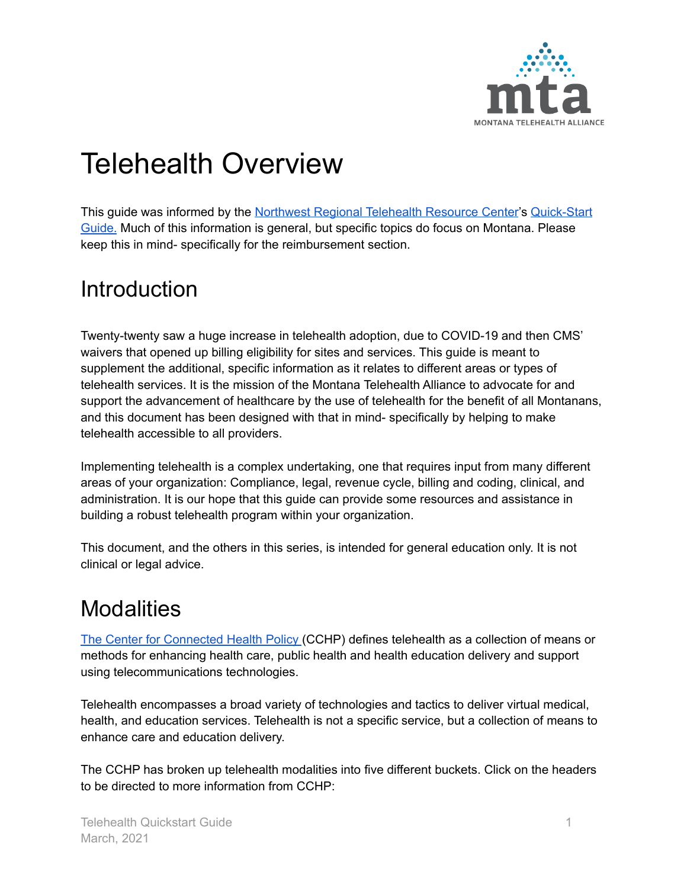

# Telehealth Overview

This guide was informed by the Northwest Regional [Telehealth](https://nrtrc.org/) Resource Center's [Quick-Start](https://nrtrc.org/education/downloads/Telehealth-Quick-Start-Guide.pdf) [Guide.](https://nrtrc.org/education/downloads/Telehealth-Quick-Start-Guide.pdf) Much of this information is general, but specific topics do focus on Montana. Please keep this in mind- specifically for the reimbursement section.

### **Introduction**

Twenty-twenty saw a huge increase in telehealth adoption, due to COVID-19 and then CMS' waivers that opened up billing eligibility for sites and services. This guide is meant to supplement the additional, specific information as it relates to different areas or types of telehealth services. It is the mission of the Montana Telehealth Alliance to advocate for and support the advancement of healthcare by the use of telehealth for the benefit of all Montanans, and this document has been designed with that in mind- specifically by helping to make telehealth accessible to all providers.

Implementing telehealth is a complex undertaking, one that requires input from many different areas of your organization: Compliance, legal, revenue cycle, billing and coding, clinical, and administration. It is our hope that this guide can provide some resources and assistance in building a robust telehealth program within your organization.

This document, and the others in this series, is intended for general education only. It is not clinical or legal advice.

### **Modalities**

The Center for [Connected](https://www.cchpca.org/about/about-telehealth) Health Policy (CCHP) defines telehealth as a collection of means or methods for enhancing health care, public health and health education delivery and support using telecommunications technologies.

Telehealth encompasses a broad variety of technologies and tactics to deliver virtual medical, health, and education services. Telehealth is not a specific service, but a collection of means to enhance care and education delivery.

The CCHP has broken up telehealth modalities into five different buckets. Click on the headers to be directed to more information from CCHP: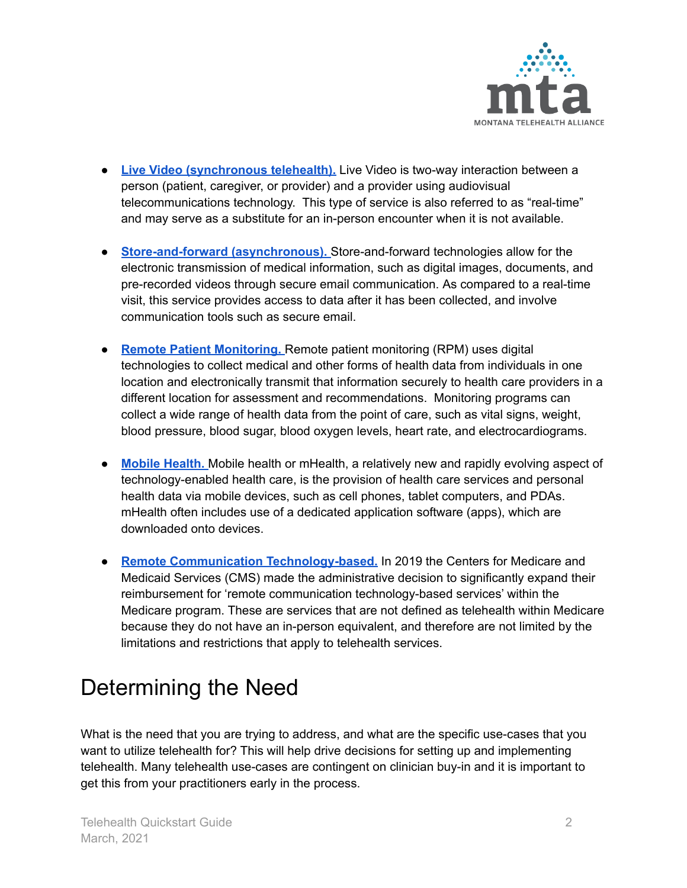

- **Live Video [\(synchronous](https://www.cchpca.org/about/about-telehealth/live-video-synchronous-or-real-time-interaction) telehealth).** Live Video is two-way interaction between a person (patient, caregiver, or provider) and a provider using audiovisual telecommunications technology. This type of service is also referred to as "real-time" and may serve as a substitute for an in-person encounter when it is not available.
- **[Store-and-forward](https://www.cchpca.org/about/about-telehealth/store-and-forward-asynchronous) (asynchronous).** Store-and-forward technologies allow for the electronic transmission of medical information, such as digital images, documents, and pre-recorded videos through secure email communication. As compared to a real-time visit, this service provides access to data after it has been collected, and involve communication tools such as secure email.
- **Remote Patient [Monitoring.](https://www.cchpca.org/about/about-telehealth/remote-patient-monitoring-rpm)** Remote patient monitoring (RPM) uses digital technologies to collect medical and other forms of health data from individuals in one location and electronically transmit that information securely to health care providers in a different location for assessment and recommendations. Monitoring programs can collect a wide range of health data from the point of care, such as vital signs, weight, blood pressure, blood sugar, blood oxygen levels, heart rate, and electrocardiograms.
- **Mobile [Health.](https://www.cchpca.org/about/about-telehealth/mobile-health-mhealth)** Mobile health or mHealth, a relatively new and rapidly evolving aspect of technology-enabled health care, is the provision of health care services and personal health data via mobile devices, such as cell phones, tablet computers, and PDAs. mHealth often includes use of a dedicated application software (apps), which are downloaded onto devices.
- **Remote Communication [Technology-based.](https://www.cchpca.org/about/about-telehealth/remote-communication-technology-based-services)** In 2019 the Centers for Medicare and Medicaid Services (CMS) made the administrative decision to significantly expand their reimbursement for 'remote communication technology-based services' within the Medicare program. These are services that are not defined as telehealth within Medicare because they do not have an in-person equivalent, and therefore are not limited by the limitations and restrictions that apply to telehealth services.

## Determining the Need

What is the need that you are trying to address, and what are the specific use-cases that you want to utilize telehealth for? This will help drive decisions for setting up and implementing telehealth. Many telehealth use-cases are contingent on clinician buy-in and it is important to get this from your practitioners early in the process.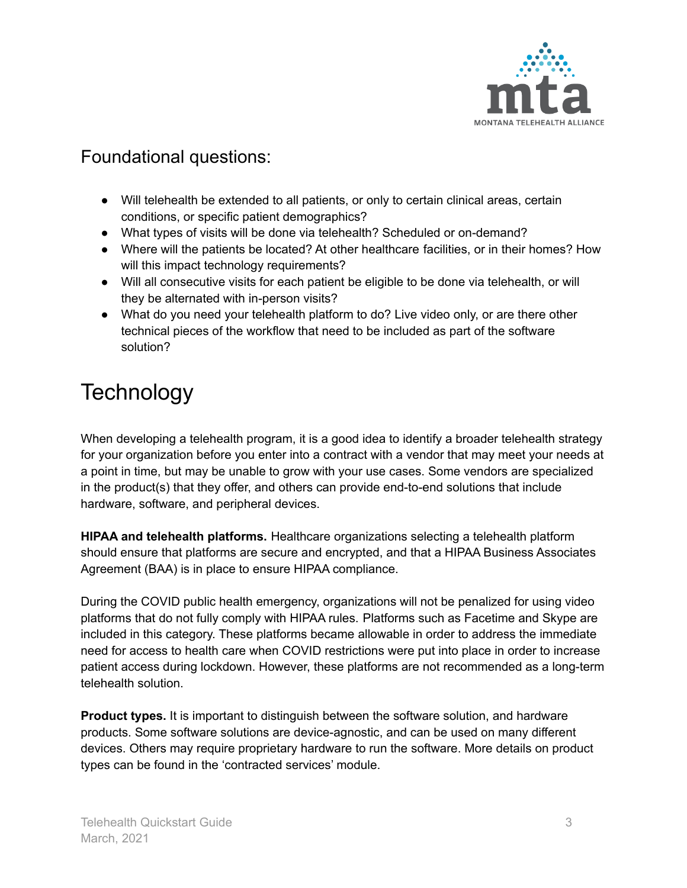

### Foundational questions:

- Will telehealth be extended to all patients, or only to certain clinical areas, certain conditions, or specific patient demographics?
- What types of visits will be done via telehealth? Scheduled or on-demand?
- Where will the patients be located? At other healthcare facilities, or in their homes? How will this impact technology requirements?
- Will all consecutive visits for each patient be eligible to be done via telehealth, or will they be alternated with in-person visits?
- What do you need your telehealth platform to do? Live video only, or are there other technical pieces of the workflow that need to be included as part of the software solution?

## **Technology**

When developing a telehealth program, it is a good idea to identify a broader telehealth strategy for your organization before you enter into a contract with a vendor that may meet your needs at a point in time, but may be unable to grow with your use cases. Some vendors are specialized in the product(s) that they offer, and others can provide end-to-end solutions that include hardware, software, and peripheral devices.

**HIPAA and telehealth platforms.** Healthcare organizations selecting a telehealth platform should ensure that platforms are secure and encrypted, and that a HIPAA Business Associates Agreement (BAA) is in place to ensure HIPAA compliance.

During the COVID public health emergency, organizations will not be penalized for using video platforms that do not fully comply with HIPAA rules. Platforms such as Facetime and Skype are included in this category. These platforms became allowable in order to address the immediate need for access to health care when COVID restrictions were put into place in order to increase patient access during lockdown. However, these platforms are not recommended as a long-term telehealth solution.

**Product types.** It is important to distinguish between the software solution, and hardware products. Some software solutions are device-agnostic, and can be used on many different devices. Others may require proprietary hardware to run the software. More details on product types can be found in the 'contracted services' module.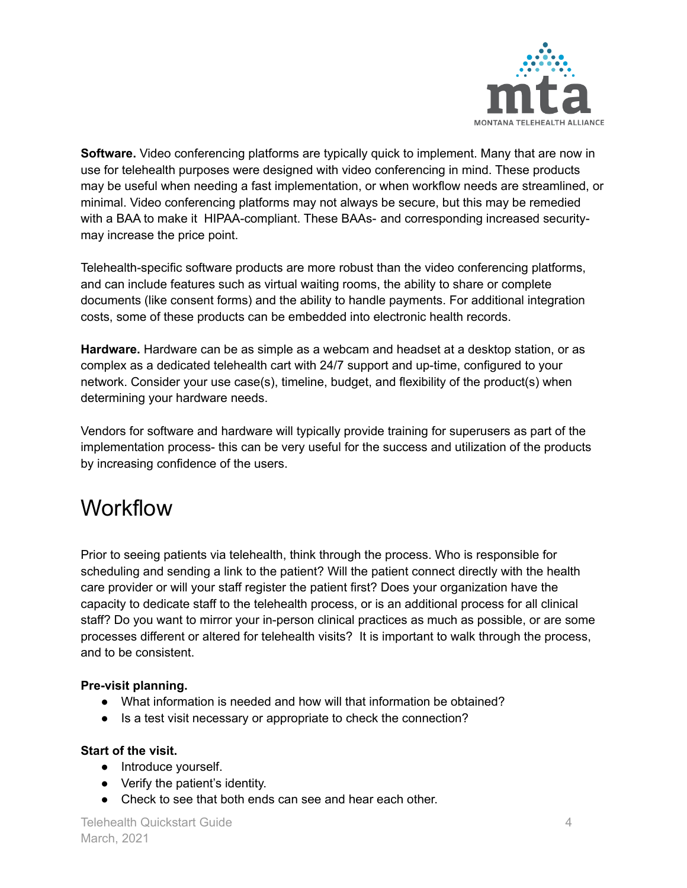

**Software.** Video conferencing platforms are typically quick to implement. Many that are now in use for telehealth purposes were designed with video conferencing in mind. These products may be useful when needing a fast implementation, or when workflow needs are streamlined, or minimal. Video conferencing platforms may not always be secure, but this may be remedied with a BAA to make it HIPAA-compliant. These BAAs- and corresponding increased securitymay increase the price point.

Telehealth-specific software products are more robust than the video conferencing platforms, and can include features such as virtual waiting rooms, the ability to share or complete documents (like consent forms) and the ability to handle payments. For additional integration costs, some of these products can be embedded into electronic health records.

**Hardware.** Hardware can be as simple as a webcam and headset at a desktop station, or as complex as a dedicated telehealth cart with 24/7 support and up-time, configured to your network. Consider your use case(s), timeline, budget, and flexibility of the product(s) when determining your hardware needs.

Vendors for software and hardware will typically provide training for superusers as part of the implementation process- this can be very useful for the success and utilization of the products by increasing confidence of the users.

### **Workflow**

Prior to seeing patients via telehealth, think through the process. Who is responsible for scheduling and sending a link to the patient? Will the patient connect directly with the health care provider or will your staff register the patient first? Does your organization have the capacity to dedicate staff to the telehealth process, or is an additional process for all clinical staff? Do you want to mirror your in-person clinical practices as much as possible, or are some processes different or altered for telehealth visits? It is important to walk through the process, and to be consistent.

#### **Pre-visit planning.**

- What information is needed and how will that information be obtained?
- Is a test visit necessary or appropriate to check the connection?

#### **Start of the visit.**

- Introduce yourself.
- Verify the patient's identity.
- Check to see that both ends can see and hear each other.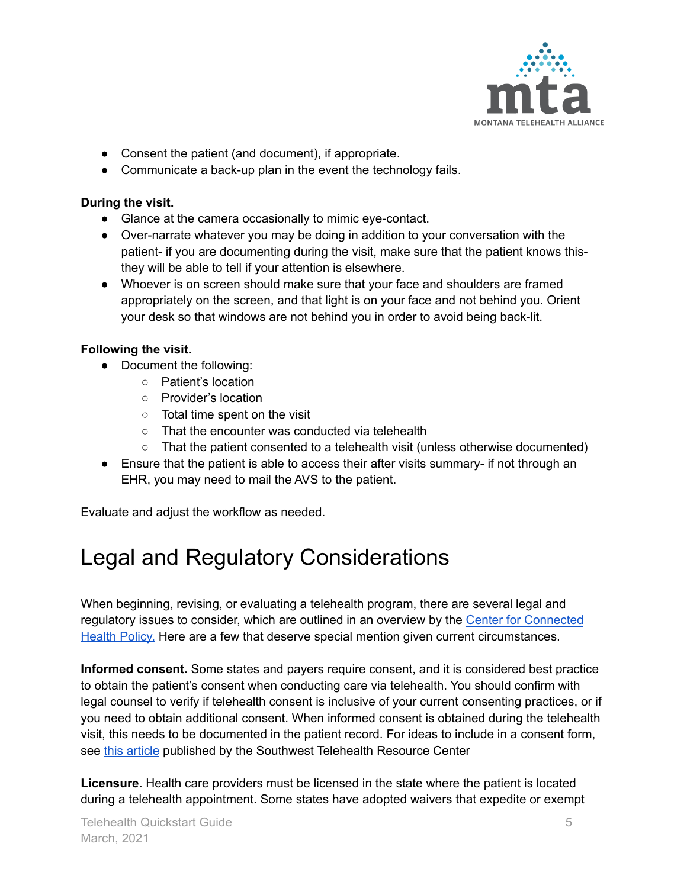

- Consent the patient (and document), if appropriate.
- Communicate a back-up plan in the event the technology fails.

#### **During the visit.**

- Glance at the camera occasionally to mimic eye-contact.
- Over-narrate whatever you may be doing in addition to your conversation with the patient- if you are documenting during the visit, make sure that the patient knows thisthey will be able to tell if your attention is elsewhere.
- Whoever is on screen should make sure that your face and shoulders are framed appropriately on the screen, and that light is on your face and not behind you. Orient your desk so that windows are not behind you in order to avoid being back-lit.

#### **Following the visit.**

- Document the following:
	- Patient's location
	- Provider's location
	- Total time spent on the visit
	- That the encounter was conducted via telehealth
	- That the patient consented to a telehealth visit (unless otherwise documented)
- Ensure that the patient is able to access their after visits summary- if not through an EHR, you may need to mail the AVS to the patient.

Evaluate and adjust the workflow as needed.

## Legal and Regulatory Considerations

When beginning, revising, or evaluating a telehealth program, there are several legal and regulatory issues to consider, which are outlined in an overview by the Center for [Connected](https://www.cchpca.org/telehealth-policy/national-policy) [Health](https://www.cchpca.org/telehealth-policy/national-policy) Policy. Here are a few that deserve special mention given current circumstances.

**Informed consent.** Some states and payers require consent, and it is considered best practice to obtain the patient's consent when conducting care via telehealth. You should confirm with legal counsel to verify if telehealth consent is inclusive of your current consenting practices, or if you need to obtain additional consent. When informed consent is obtained during the telehealth visit, this needs to be documented in the patient record. For ideas to include in a consent form, see this [article](https://southwesttrc.org/blog/2017/telemedicine-informed-consent-how-informed-are-you) published by the Southwest Telehealth Resource Center

**Licensure.** Health care providers must be licensed in the state where the patient is located during a telehealth appointment. Some states have adopted waivers that expedite or exempt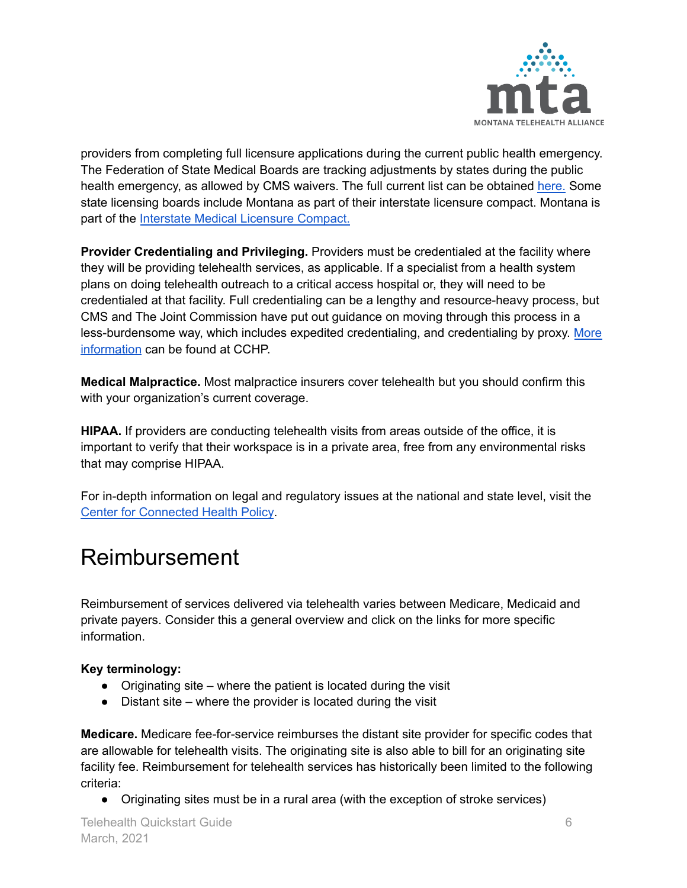

providers from completing full licensure applications during the current public health emergency. The Federation of State Medical Boards are tracking adjustments by states during the public health emergency, as allowed by CMS waivers. The full current list can be obtained [here.](https://www.fsmb.org/siteassets/advocacy/pdf/states-waiving-licensure-requirements-for-telehealth-in-response-to-covid-19.pdf) Some state licensing boards include Montana as part of their interstate licensure compact. Montana is part of the Interstate Medical [Licensure](https://www.imlcc.org/) Compact.

**Provider Credentialing and Privileging.** Providers must be credentialed at the facility where they will be providing telehealth services, as applicable. If a specialist from a health system plans on doing telehealth outreach to a critical access hospital or, they will need to be credentialed at that facility. Full credentialing can be a lengthy and resource-heavy process, but CMS and The Joint Commission have put out guidance on moving through this process in a less-burdensome way, which includes expedited credentialing, and credentialing by proxy. [More](https://www.cchpca.org/telehealth-policy/credentialing-and-privileging) [information](https://www.cchpca.org/telehealth-policy/credentialing-and-privileging) can be found at CCHP.

**Medical Malpractice.** Most malpractice insurers cover telehealth but you should confirm this with your organization's current coverage.

**HIPAA.** If providers are conducting telehealth visits from areas outside of the office, it is important to verify that their workspace is in a private area, free from any environmental risks that may comprise HIPAA.

For in-depth information on legal and regulatory issues at the national and state level, visit the Center for [Connected](https://www.cchpca.org/) Health Policy.

### Reimbursement

Reimbursement of services delivered via telehealth varies between Medicare, Medicaid and private payers. Consider this a general overview and click on the links for more specific information.

#### **Key terminology:**

- $\bullet$  Originating site where the patient is located during the visit
- $\bullet$  Distant site where the provider is located during the visit

**Medicare.** Medicare fee-for-service reimburses the distant site provider for specific codes that are allowable for telehealth visits. The originating site is also able to bill for an originating site facility fee. Reimbursement for telehealth services has historically been limited to the following criteria:

● Originating sites must be in a rural area (with the exception of stroke services)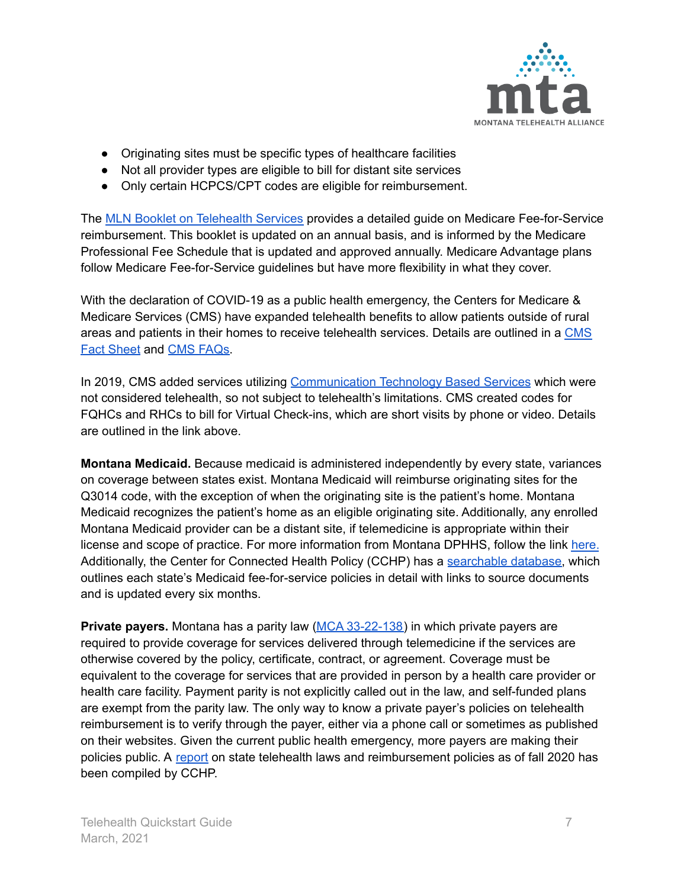

- Originating sites must be specific types of healthcare facilities
- Not all provider types are eligible to bill for distant site services
- Only certain HCPCS/CPT codes are eligible for reimbursement.

The MLN Booklet on [Telehealth](https://www.cms.gov/Outreach-and-Education/Medicare-Learning-Network-MLN/MLNProducts/Downloads/TelehealthSrvcsfctsht.pdf) Services provides a detailed guide on Medicare Fee-for-Service reimbursement. This booklet is updated on an annual basis, and is informed by the Medicare Professional Fee Schedule that is updated and approved annually. Medicare Advantage plans follow Medicare Fee-for-Service guidelines but have more flexibility in what they cover.

With the declaration of COVID-19 as a public health emergency, the Centers for Medicare & Medicare Services (CMS) have expanded telehealth benefits to allow patients outside of rural areas and patients in their homes to receive telehealth services. Details are outlined in a [CMS](https://www.cms.gov/newsroom/fact-sheets/medicare-telemedicine-health-care-provider-fact-sheet) Fact [Sheet](https://www.cms.gov/newsroom/fact-sheets/medicare-telemedicine-health-care-provider-fact-sheet) and CMS [FAQs.](https://edit.cms.gov/files/document/medicare-telehealth-frequently-asked-questions-faqs-31720.pdf)

In 2019, CMS added services utilizing [Communication](https://www.cms.gov/Outreach-and-Education/Medicare-Learning-Network-MLN/MLNMattersArticles/Downloads/MM10843.pdf) Technology Based Services which were not considered telehealth, so not subject to telehealth's limitations. CMS created codes for FQHCs and RHCs to bill for Virtual Check-ins, which are short visits by phone or video. Details are outlined in the link above.

**Montana Medicaid.** Because medicaid is administered independently by every state, variances on coverage between states exist. Montana Medicaid will reimburse originating sites for the Q3014 code, with the exception of when the originating site is the patient's home. Montana Medicaid recognizes the patient's home as an eligible originating site. Additionally, any enrolled Montana Medicaid provider can be a distant site, if telemedicine is appropriate within their license and scope of practice. For more information from Montana DPHHS, follow the link [here.](https://dphhs.mt.gov/Portals/85/dsd/documents/CMB/providermanuals/FAQTelemedicinetelehealth.pdf) Additionally, the Center for Connected Health Policy (CCHP) has a [searchable](https://www.cchpca.org/telehealth-policy/current-state-laws-and-reimbursement-policies#) database, which outlines each state's Medicaid fee-for-service policies in detail with links to source documents and is updated every six months.

**Private payers.** Montana has a parity law (MCA [33-22-138\)](https://leg.mt.gov/bills/mca/title_0330/chapter_0220/part_0010/section_0380/0330-0220-0010-0380.html) in which private payers are required to provide coverage for services delivered through telemedicine if the services are otherwise covered by the policy, certificate, contract, or agreement. Coverage must be equivalent to the coverage for services that are provided in person by a health care provider or health care facility. Payment parity is not explicitly called out in the law, and self-funded plans are exempt from the parity law. The only way to know a private payer's policies on telehealth reimbursement is to verify through the payer, either via a phone call or sometimes as published on their websites. Given the current public health emergency, more payers are making their policies public. A [report](https://www.cchpca.org/telehealth-policy/state-telehealth-laws-and-reimbursement-policies-report) on state telehealth laws and reimbursement policies as of fall 2020 has been compiled by CCHP.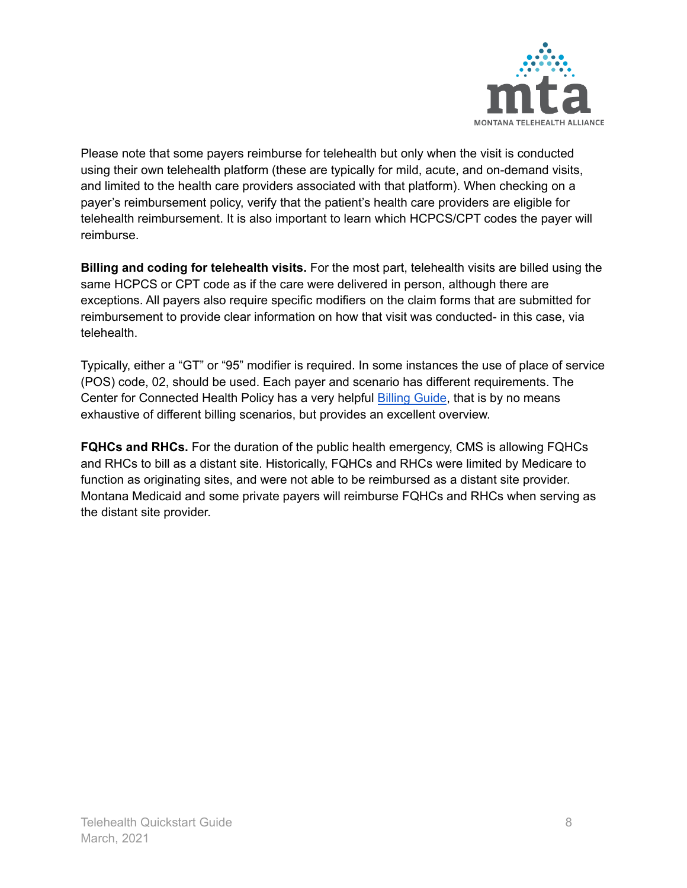

Please note that some payers reimburse for telehealth but only when the visit is conducted using their own telehealth platform (these are typically for mild, acute, and on-demand visits, and limited to the health care providers associated with that platform). When checking on a payer's reimbursement policy, verify that the patient's health care providers are eligible for telehealth reimbursement. It is also important to learn which HCPCS/CPT codes the payer will reimburse.

**Billing and coding for telehealth visits.** For the most part, telehealth visits are billed using the same HCPCS or CPT code as if the care were delivered in person, although there are exceptions. All payers also require specific modifiers on the claim forms that are submitted for reimbursement to provide clear information on how that visit was conducted- in this case, via telehealth.

Typically, either a "GT" or "95" modifier is required. In some instances the use of place of service (POS) code, 02, should be used. Each payer and scenario has different requirements. The Center for Connected Health Policy has a very helpful Billing [Guide](https://www.cchpca.org/sites/default/files/2020-01/Billing%20Guide%20for%20Telehealth%20Encounters_FINAL.pdf), that is by no means exhaustive of different billing scenarios, but provides an excellent overview.

**FQHCs and RHCs.** For the duration of the public health emergency, CMS is allowing FQHCs and RHCs to bill as a distant site. Historically, FQHCs and RHCs were limited by Medicare to function as originating sites, and were not able to be reimbursed as a distant site provider. Montana Medicaid and some private payers will reimburse FQHCs and RHCs when serving as the distant site provider.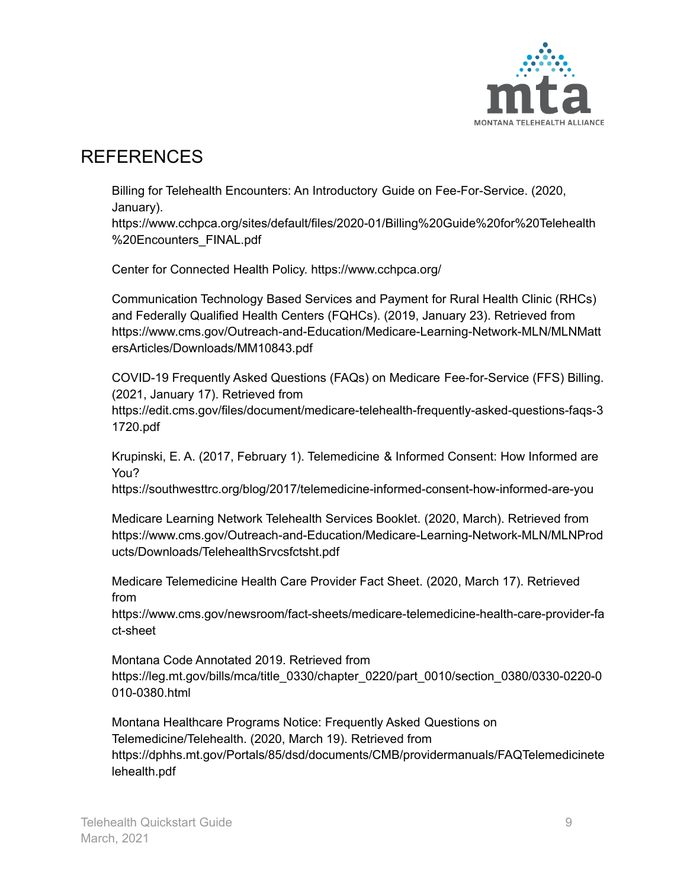

### REFERENCES

Billing for Telehealth Encounters: An Introductory Guide on Fee-For-Service. (2020, January).

https://www.cchpca.org/sites/default/files/2020-01/Billing%20Guide%20for%20Telehealth %20Encounters\_FINAL.pdf

Center for Connected Health Policy. https://www.cchpca.org/

Communication Technology Based Services and Payment for Rural Health Clinic (RHCs) and Federally Qualified Health Centers (FQHCs). (2019, January 23). Retrieved from https://www.cms.gov/Outreach-and-Education/Medicare-Learning-Network-MLN/MLNMatt ersArticles/Downloads/MM10843.pdf

COVID-19 Frequently Asked Questions (FAQs) on Medicare Fee-for-Service (FFS) Billing. (2021, January 17). Retrieved from https://edit.cms.gov/files/document/medicare-telehealth-frequently-asked-questions-faqs-3 1720.pdf

Krupinski, E. A. (2017, February 1). Telemedicine & Informed Consent: How Informed are You?

https://southwesttrc.org/blog/2017/telemedicine-informed-consent-how-informed-are-you

Medicare Learning Network Telehealth Services Booklet. (2020, March). Retrieved from https://www.cms.gov/Outreach-and-Education/Medicare-Learning-Network-MLN/MLNProd ucts/Downloads/TelehealthSrvcsfctsht.pdf

Medicare Telemedicine Health Care Provider Fact Sheet. (2020, March 17). Retrieved from

https://www.cms.gov/newsroom/fact-sheets/medicare-telemedicine-health-care-provider-fa ct-sheet

Montana Code Annotated 2019. Retrieved from https://leg.mt.gov/bills/mca/title\_0330/chapter\_0220/part\_0010/section\_0380/0330-0220-0 010-0380.html

Montana Healthcare Programs Notice: Frequently Asked Questions on Telemedicine/Telehealth. (2020, March 19). Retrieved from https://dphhs.mt.gov/Portals/85/dsd/documents/CMB/providermanuals/FAQTelemedicinete lehealth.pdf